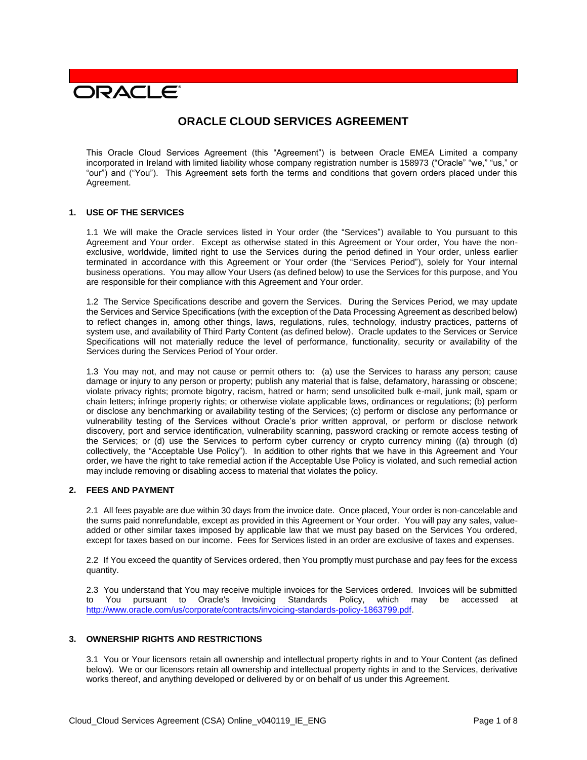# **PACLE**

# **ORACLE CLOUD SERVICES AGREEMENT**

This Oracle Cloud Services Agreement (this "Agreement") is between Oracle EMEA Limited a company incorporated in Ireland with limited liability whose company registration number is 158973 ("Oracle" "we," "us," or "our") and ("You"). This Agreement sets forth the terms and conditions that govern orders placed under this Agreement.

# **1. USE OF THE SERVICES**

1.1 We will make the Oracle services listed in Your order (the "Services") available to You pursuant to this Agreement and Your order. Except as otherwise stated in this Agreement or Your order, You have the nonexclusive, worldwide, limited right to use the Services during the period defined in Your order, unless earlier terminated in accordance with this Agreement or Your order (the "Services Period"), solely for Your internal business operations. You may allow Your Users (as defined below) to use the Services for this purpose, and You are responsible for their compliance with this Agreement and Your order.

1.2 The Service Specifications describe and govern the Services. During the Services Period, we may update the Services and Service Specifications (with the exception of the Data Processing Agreement as described below) to reflect changes in, among other things, laws, regulations, rules, technology, industry practices, patterns of system use, and availability of Third Party Content (as defined below). Oracle updates to the Services or Service Specifications will not materially reduce the level of performance, functionality, security or availability of the Services during the Services Period of Your order.

1.3 You may not, and may not cause or permit others to: (a) use the Services to harass any person; cause damage or injury to any person or property; publish any material that is false, defamatory, harassing or obscene; violate privacy rights; promote bigotry, racism, hatred or harm; send unsolicited bulk e-mail, junk mail, spam or chain letters; infringe property rights; or otherwise violate applicable laws, ordinances or regulations; (b) perform or disclose any benchmarking or availability testing of the Services; (c) perform or disclose any performance or vulnerability testing of the Services without Oracle's prior written approval, or perform or disclose network discovery, port and service identification, vulnerability scanning, password cracking or remote access testing of the Services; or (d) use the Services to perform cyber currency or crypto currency mining ((a) through (d) collectively, the "Acceptable Use Policy"). In addition to other rights that we have in this Agreement and Your order, we have the right to take remedial action if the Acceptable Use Policy is violated, and such remedial action may include removing or disabling access to material that violates the policy.

# **2. FEES AND PAYMENT**

2.1 All fees payable are due within 30 days from the invoice date. Once placed, Your order is non-cancelable and the sums paid nonrefundable, except as provided in this Agreement or Your order. You will pay any sales, valueadded or other similar taxes imposed by applicable law that we must pay based on the Services You ordered, except for taxes based on our income. Fees for Services listed in an order are exclusive of taxes and expenses.

2.2 If You exceed the quantity of Services ordered, then You promptly must purchase and pay fees for the excess quantity.

2.3 You understand that You may receive multiple invoices for the Services ordered. Invoices will be submitted to You pursuant to Oracle's Invoicing Standards Policy, which may be accessed at [http://www.oracle.com/us/corporate/contracts/invoicing-standards-policy-1863799.pdf.](http://www.oracle.com/us/corporate/contracts/invoicing-standards-policy-1863799.pdf)

### **3. OWNERSHIP RIGHTS AND RESTRICTIONS**

3.1 You or Your licensors retain all ownership and intellectual property rights in and to Your Content (as defined below). We or our licensors retain all ownership and intellectual property rights in and to the Services, derivative works thereof, and anything developed or delivered by or on behalf of us under this Agreement.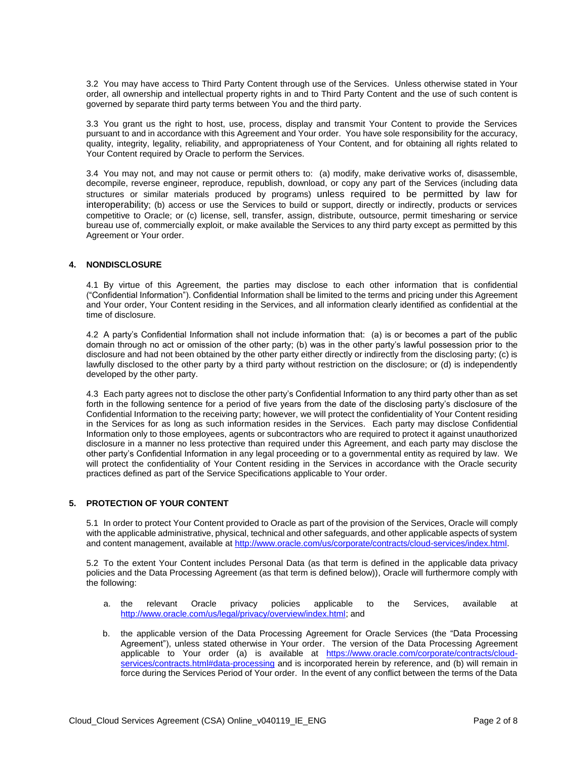3.2 You may have access to Third Party Content through use of the Services. Unless otherwise stated in Your order, all ownership and intellectual property rights in and to Third Party Content and the use of such content is governed by separate third party terms between You and the third party.

3.3 You grant us the right to host, use, process, display and transmit Your Content to provide the Services pursuant to and in accordance with this Agreement and Your order. You have sole responsibility for the accuracy, quality, integrity, legality, reliability, and appropriateness of Your Content, and for obtaining all rights related to Your Content required by Oracle to perform the Services.

3.4 You may not, and may not cause or permit others to: (a) modify, make derivative works of, disassemble, decompile, reverse engineer, reproduce, republish, download, or copy any part of the Services (including data structures or similar materials produced by programs) unless required to be permitted by law for interoperability; (b) access or use the Services to build or support, directly or indirectly, products or services competitive to Oracle; or (c) license, sell, transfer, assign, distribute, outsource, permit timesharing or service bureau use of, commercially exploit, or make available the Services to any third party except as permitted by this Agreement or Your order.

#### **4. NONDISCLOSURE**

4.1 By virtue of this Agreement, the parties may disclose to each other information that is confidential ("Confidential Information"). Confidential Information shall be limited to the terms and pricing under this Agreement and Your order, Your Content residing in the Services, and all information clearly identified as confidential at the time of disclosure.

4.2 A party's Confidential Information shall not include information that: (a) is or becomes a part of the public domain through no act or omission of the other party; (b) was in the other party's lawful possession prior to the disclosure and had not been obtained by the other party either directly or indirectly from the disclosing party; (c) is lawfully disclosed to the other party by a third party without restriction on the disclosure; or (d) is independently developed by the other party.

4.3 Each party agrees not to disclose the other party's Confidential Information to any third party other than as set forth in the following sentence for a period of five years from the date of the disclosing party's disclosure of the Confidential Information to the receiving party; however, we will protect the confidentiality of Your Content residing in the Services for as long as such information resides in the Services. Each party may disclose Confidential Information only to those employees, agents or subcontractors who are required to protect it against unauthorized disclosure in a manner no less protective than required under this Agreement, and each party may disclose the other party's Confidential Information in any legal proceeding or to a governmental entity as required by law. We will protect the confidentiality of Your Content residing in the Services in accordance with the Oracle security practices defined as part of the Service Specifications applicable to Your order.

# **5. PROTECTION OF YOUR CONTENT**

5.1 In order to protect Your Content provided to Oracle as part of the provision of the Services, Oracle will comply with the applicable administrative, physical, technical and other safeguards, and other applicable aspects of system and content management, available at [http://www.oracle.com/us/corporate/contracts/cloud-services/index.html.](http://www.oracle.com/us/corporate/contracts/cloud-services/index.html)

5.2 To the extent Your Content includes Personal Data (as that term is defined in the applicable data privacy policies and the Data Processing Agreement (as that term is defined below)), Oracle will furthermore comply with the following:

- a. the relevant Oracle privacy policies applicable to the Services, available at [http://www.oracle.com/us/legal/privacy/overview/index.html;](http://www.oracle.com/us/legal/privacy/overview/index.html) and
- b. the applicable version of the Data Processing Agreement for Oracle Services (the "Data Processing Agreement"), unless stated otherwise in Your order. The version of the Data Processing Agreement applicable to Your order (a) is available at [https://www.oracle.com/corporate/contracts/cloud](https://www.oracle.com/corporate/contracts/cloud-services/contracts.html#data-processing)[services/contracts.html#data-processing](https://www.oracle.com/corporate/contracts/cloud-services/contracts.html#data-processing) and is incorporated herein by reference, and (b) will remain in force during the Services Period of Your order. In the event of any conflict between the terms of the Data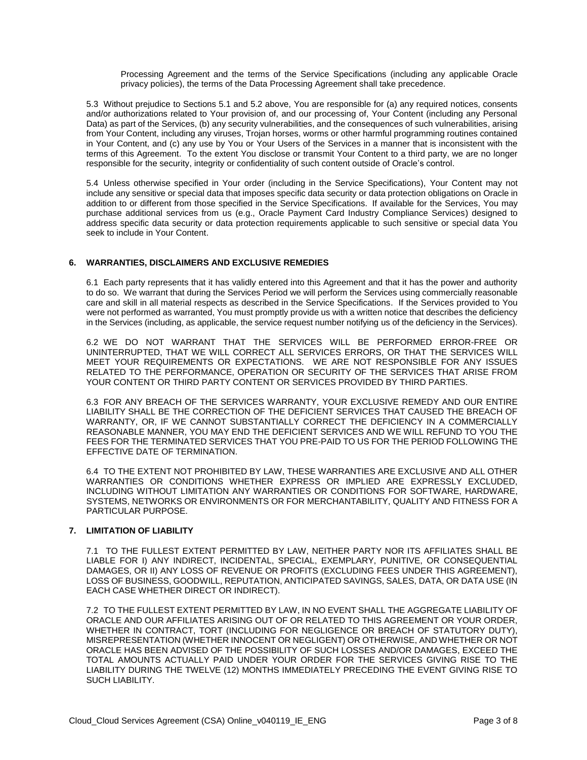Processing Agreement and the terms of the Service Specifications (including any applicable Oracle privacy policies), the terms of the Data Processing Agreement shall take precedence.

5.3 Without prejudice to Sections 5.1 and 5.2 above, You are responsible for (a) any required notices, consents and/or authorizations related to Your provision of, and our processing of, Your Content (including any Personal Data) as part of the Services, (b) any security vulnerabilities, and the consequences of such vulnerabilities, arising from Your Content, including any viruses, Trojan horses, worms or other harmful programming routines contained in Your Content, and (c) any use by You or Your Users of the Services in a manner that is inconsistent with the terms of this Agreement. To the extent You disclose or transmit Your Content to a third party, we are no longer responsible for the security, integrity or confidentiality of such content outside of Oracle's control.

5.4 Unless otherwise specified in Your order (including in the Service Specifications), Your Content may not include any sensitive or special data that imposes specific data security or data protection obligations on Oracle in addition to or different from those specified in the Service Specifications. If available for the Services, You may purchase additional services from us (e.g., Oracle Payment Card Industry Compliance Services) designed to address specific data security or data protection requirements applicable to such sensitive or special data You seek to include in Your Content.

#### **6. WARRANTIES, DISCLAIMERS AND EXCLUSIVE REMEDIES**

6.1 Each party represents that it has validly entered into this Agreement and that it has the power and authority to do so. We warrant that during the Services Period we will perform the Services using commercially reasonable care and skill in all material respects as described in the Service Specifications. If the Services provided to You were not performed as warranted, You must promptly provide us with a written notice that describes the deficiency in the Services (including, as applicable, the service request number notifying us of the deficiency in the Services).

6.2 WE DO NOT WARRANT THAT THE SERVICES WILL BE PERFORMED ERROR-FREE OR UNINTERRUPTED, THAT WE WILL CORRECT ALL SERVICES ERRORS, OR THAT THE SERVICES WILL MEET YOUR REQUIREMENTS OR EXPECTATIONS. WE ARE NOT RESPONSIBLE FOR ANY ISSUES RELATED TO THE PERFORMANCE, OPERATION OR SECURITY OF THE SERVICES THAT ARISE FROM YOUR CONTENT OR THIRD PARTY CONTENT OR SERVICES PROVIDED BY THIRD PARTIES.

6.3 FOR ANY BREACH OF THE SERVICES WARRANTY, YOUR EXCLUSIVE REMEDY AND OUR ENTIRE LIABILITY SHALL BE THE CORRECTION OF THE DEFICIENT SERVICES THAT CAUSED THE BREACH OF WARRANTY, OR, IF WE CANNOT SUBSTANTIALLY CORRECT THE DEFICIENCY IN A COMMERCIALLY REASONABLE MANNER, YOU MAY END THE DEFICIENT SERVICES AND WE WILL REFUND TO YOU THE FEES FOR THE TERMINATED SERVICES THAT YOU PRE-PAID TO US FOR THE PERIOD FOLLOWING THE EFFECTIVE DATE OF TERMINATION.

6.4 TO THE EXTENT NOT PROHIBITED BY LAW, THESE WARRANTIES ARE EXCLUSIVE AND ALL OTHER WARRANTIES OR CONDITIONS WHETHER EXPRESS OR IMPLIED ARE EXPRESSLY EXCLUDED, INCLUDING WITHOUT LIMITATION ANY WARRANTIES OR CONDITIONS FOR SOFTWARE, HARDWARE, SYSTEMS, NETWORKS OR ENVIRONMENTS OR FOR MERCHANTABILITY, QUALITY AND FITNESS FOR A PARTICULAR PURPOSE.

#### **7. LIMITATION OF LIABILITY**

7.1 TO THE FULLEST EXTENT PERMITTED BY LAW, NEITHER PARTY NOR ITS AFFILIATES SHALL BE LIABLE FOR I) ANY INDIRECT, INCIDENTAL, SPECIAL, EXEMPLARY, PUNITIVE, OR CONSEQUENTIAL DAMAGES, OR II) ANY LOSS OF REVENUE OR PROFITS (EXCLUDING FEES UNDER THIS AGREEMENT), LOSS OF BUSINESS, GOODWILL, REPUTATION, ANTICIPATED SAVINGS, SALES, DATA, OR DATA USE (IN EACH CASE WHETHER DIRECT OR INDIRECT).

7.2 TO THE FULLEST EXTENT PERMITTED BY LAW, IN NO EVENT SHALL THE AGGREGATE LIABILITY OF ORACLE AND OUR AFFILIATES ARISING OUT OF OR RELATED TO THIS AGREEMENT OR YOUR ORDER, WHETHER IN CONTRACT, TORT (INCLUDING FOR NEGLIGENCE OR BREACH OF STATUTORY DUTY), MISREPRESENTATION (WHETHER INNOCENT OR NEGLIGENT) OR OTHERWISE, AND WHETHER OR NOT ORACLE HAS BEEN ADVISED OF THE POSSIBILITY OF SUCH LOSSES AND/OR DAMAGES, EXCEED THE TOTAL AMOUNTS ACTUALLY PAID UNDER YOUR ORDER FOR THE SERVICES GIVING RISE TO THE LIABILITY DURING THE TWELVE (12) MONTHS IMMEDIATELY PRECEDING THE EVENT GIVING RISE TO SUCH LIABILITY.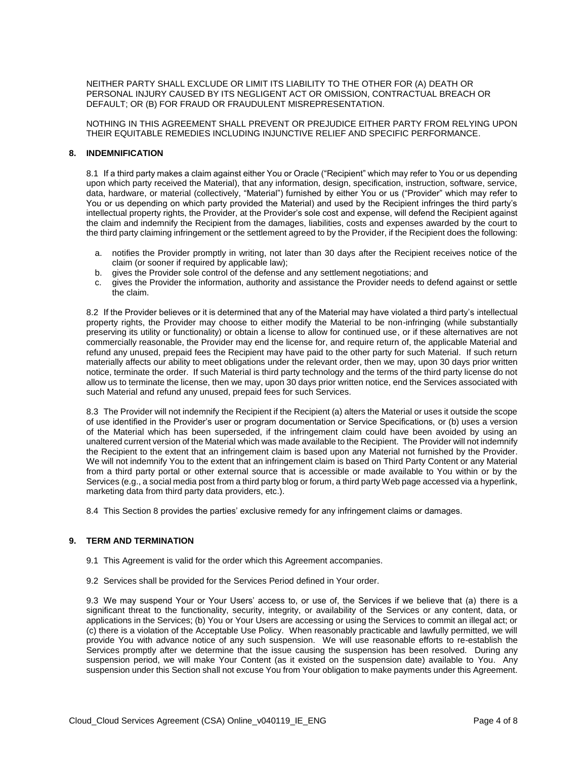NEITHER PARTY SHALL EXCLUDE OR LIMIT ITS LIABILITY TO THE OTHER FOR (A) DEATH OR PERSONAL INJURY CAUSED BY ITS NEGLIGENT ACT OR OMISSION, CONTRACTUAL BREACH OR DEFAULT; OR (B) FOR FRAUD OR FRAUDULENT MISREPRESENTATION.

NOTHING IN THIS AGREEMENT SHALL PREVENT OR PREJUDICE EITHER PARTY FROM RELYING UPON THEIR EQUITABLE REMEDIES INCLUDING INJUNCTIVE RELIEF AND SPECIFIC PERFORMANCE.

#### **8. INDEMNIFICATION**

8.1 If a third party makes a claim against either You or Oracle ("Recipient" which may refer to You or us depending upon which party received the Material), that any information, design, specification, instruction, software, service, data, hardware, or material (collectively, "Material") furnished by either You or us ("Provider" which may refer to You or us depending on which party provided the Material) and used by the Recipient infringes the third party's intellectual property rights, the Provider, at the Provider's sole cost and expense, will defend the Recipient against the claim and indemnify the Recipient from the damages, liabilities, costs and expenses awarded by the court to the third party claiming infringement or the settlement agreed to by the Provider, if the Recipient does the following:

- a. notifies the Provider promptly in writing, not later than 30 days after the Recipient receives notice of the claim (or sooner if required by applicable law);
- b. gives the Provider sole control of the defense and any settlement negotiations; and
- c. gives the Provider the information, authority and assistance the Provider needs to defend against or settle the claim.

8.2 If the Provider believes or it is determined that any of the Material may have violated a third party's intellectual property rights, the Provider may choose to either modify the Material to be non-infringing (while substantially preserving its utility or functionality) or obtain a license to allow for continued use, or if these alternatives are not commercially reasonable, the Provider may end the license for, and require return of, the applicable Material and refund any unused, prepaid fees the Recipient may have paid to the other party for such Material. If such return materially affects our ability to meet obligations under the relevant order, then we may, upon 30 days prior written notice, terminate the order. If such Material is third party technology and the terms of the third party license do not allow us to terminate the license, then we may, upon 30 days prior written notice, end the Services associated with such Material and refund any unused, prepaid fees for such Services.

8.3 The Provider will not indemnify the Recipient if the Recipient (a) alters the Material or uses it outside the scope of use identified in the Provider's user or program documentation or Service Specifications, or (b) uses a version of the Material which has been superseded, if the infringement claim could have been avoided by using an unaltered current version of the Material which was made available to the Recipient. The Provider will not indemnify the Recipient to the extent that an infringement claim is based upon any Material not furnished by the Provider. We will not indemnify You to the extent that an infringement claim is based on Third Party Content or any Material from a third party portal or other external source that is accessible or made available to You within or by the Services (e.g., a social media post from a third party blog or forum, a third party Web page accessed via a hyperlink, marketing data from third party data providers, etc.).

8.4 This Section 8 provides the parties' exclusive remedy for any infringement claims or damages.

#### **9. TERM AND TERMINATION**

- 9.1 This Agreement is valid for the order which this Agreement accompanies.
- 9.2 Services shall be provided for the Services Period defined in Your order.

9.3 We may suspend Your or Your Users' access to, or use of, the Services if we believe that (a) there is a significant threat to the functionality, security, integrity, or availability of the Services or any content, data, or applications in the Services; (b) You or Your Users are accessing or using the Services to commit an illegal act; or (c) there is a violation of the Acceptable Use Policy. When reasonably practicable and lawfully permitted, we will provide You with advance notice of any such suspension. We will use reasonable efforts to re-establish the Services promptly after we determine that the issue causing the suspension has been resolved. During any suspension period, we will make Your Content (as it existed on the suspension date) available to You. Any suspension under this Section shall not excuse You from Your obligation to make payments under this Agreement.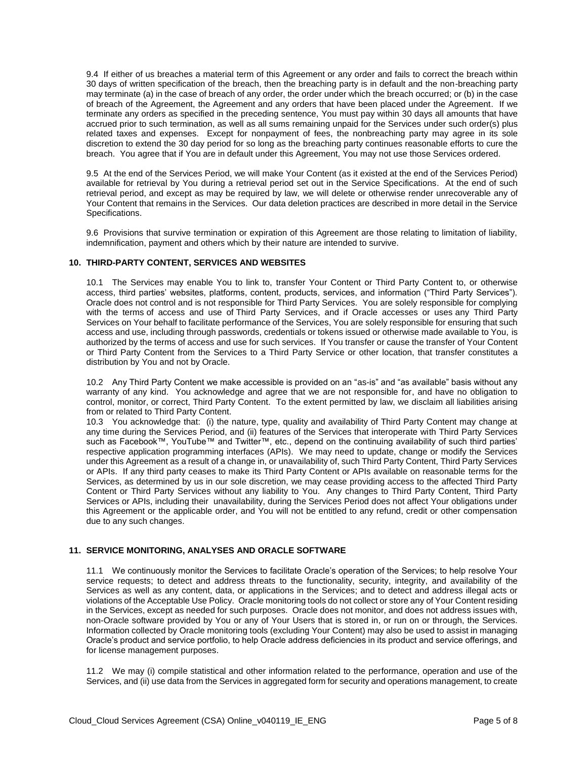9.4 If either of us breaches a material term of this Agreement or any order and fails to correct the breach within 30 days of written specification of the breach, then the breaching party is in default and the non-breaching party may terminate (a) in the case of breach of any order, the order under which the breach occurred; or (b) in the case of breach of the Agreement, the Agreement and any orders that have been placed under the Agreement. If we terminate any orders as specified in the preceding sentence, You must pay within 30 days all amounts that have accrued prior to such termination, as well as all sums remaining unpaid for the Services under such order(s) plus related taxes and expenses. Except for nonpayment of fees, the nonbreaching party may agree in its sole discretion to extend the 30 day period for so long as the breaching party continues reasonable efforts to cure the breach. You agree that if You are in default under this Agreement, You may not use those Services ordered.

9.5 At the end of the Services Period, we will make Your Content (as it existed at the end of the Services Period) available for retrieval by You during a retrieval period set out in the Service Specifications. At the end of such retrieval period, and except as may be required by law, we will delete or otherwise render unrecoverable any of Your Content that remains in the Services. Our data deletion practices are described in more detail in the Service Specifications.

9.6 Provisions that survive termination or expiration of this Agreement are those relating to limitation of liability, indemnification, payment and others which by their nature are intended to survive.

#### **10. THIRD-PARTY CONTENT, SERVICES AND WEBSITES**

10.1 The Services may enable You to link to, transfer Your Content or Third Party Content to, or otherwise access, third parties' websites, platforms, content, products, services, and information ("Third Party Services"). Oracle does not control and is not responsible for Third Party Services. You are solely responsible for complying with the terms of access and use of Third Party Services, and if Oracle accesses or uses any Third Party Services on Your behalf to facilitate performance of the Services, You are solely responsible for ensuring that such access and use, including through passwords, credentials or tokens issued or otherwise made available to You, is authorized by the terms of access and use for such services. If You transfer or cause the transfer of Your Content or Third Party Content from the Services to a Third Party Service or other location, that transfer constitutes a distribution by You and not by Oracle.

10.2 Any Third Party Content we make accessible is provided on an "as-is" and "as available" basis without any warranty of any kind. You acknowledge and agree that we are not responsible for, and have no obligation to control, monitor, or correct, Third Party Content. To the extent permitted by law, we disclaim all liabilities arising from or related to Third Party Content.

10.3 You acknowledge that: (i) the nature, type, quality and availability of Third Party Content may change at any time during the Services Period, and (ii) features of the Services that interoperate with Third Party Services such as Facebook™, YouTube™ and Twitter™, etc., depend on the continuing availability of such third parties' respective application programming interfaces (APIs). We may need to update, change or modify the Services under this Agreement as a result of a change in, or unavailability of, such Third Party Content, Third Party Services or APIs. If any third party ceases to make its Third Party Content or APIs available on reasonable terms for the Services, as determined by us in our sole discretion, we may cease providing access to the affected Third Party Content or Third Party Services without any liability to You. Any changes to Third Party Content, Third Party Services or APIs, including their unavailability, during the Services Period does not affect Your obligations under this Agreement or the applicable order, and You will not be entitled to any refund, credit or other compensation due to any such changes.

#### **11. SERVICE MONITORING, ANALYSES AND ORACLE SOFTWARE**

11.1 We continuously monitor the Services to facilitate Oracle's operation of the Services; to help resolve Your service requests; to detect and address threats to the functionality, security, integrity, and availability of the Services as well as any content, data, or applications in the Services; and to detect and address illegal acts or violations of the Acceptable Use Policy. Oracle monitoring tools do not collect or store any of Your Content residing in the Services, except as needed for such purposes. Oracle does not monitor, and does not address issues with, non-Oracle software provided by You or any of Your Users that is stored in, or run on or through, the Services. Information collected by Oracle monitoring tools (excluding Your Content) may also be used to assist in managing Oracle's product and service portfolio, to help Oracle address deficiencies in its product and service offerings, and for license management purposes.

11.2 We may (i) compile statistical and other information related to the performance, operation and use of the Services, and (ii) use data from the Services in aggregated form for security and operations management, to create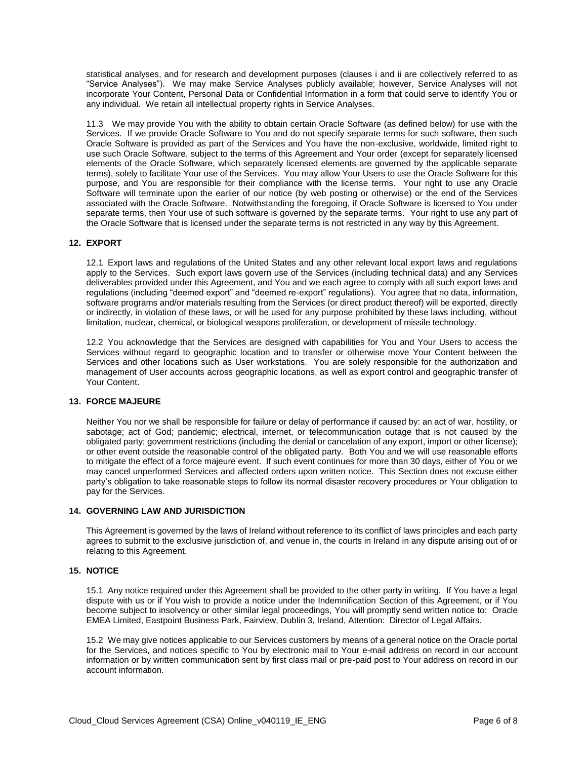statistical analyses, and for research and development purposes (clauses i and ii are collectively referred to as "Service Analyses"). We may make Service Analyses publicly available; however, Service Analyses will not incorporate Your Content, Personal Data or Confidential Information in a form that could serve to identify You or any individual. We retain all intellectual property rights in Service Analyses.

11.3 We may provide You with the ability to obtain certain Oracle Software (as defined below) for use with the Services. If we provide Oracle Software to You and do not specify separate terms for such software, then such Oracle Software is provided as part of the Services and You have the non-exclusive, worldwide, limited right to use such Oracle Software, subject to the terms of this Agreement and Your order (except for separately licensed elements of the Oracle Software, which separately licensed elements are governed by the applicable separate terms), solely to facilitate Your use of the Services. You may allow Your Users to use the Oracle Software for this purpose, and You are responsible for their compliance with the license terms. Your right to use any Oracle Software will terminate upon the earlier of our notice (by web posting or otherwise) or the end of the Services associated with the Oracle Software. Notwithstanding the foregoing, if Oracle Software is licensed to You under separate terms, then Your use of such software is governed by the separate terms. Your right to use any part of the Oracle Software that is licensed under the separate terms is not restricted in any way by this Agreement.

#### **12. EXPORT**

12.1 Export laws and regulations of the United States and any other relevant local export laws and regulations apply to the Services. Such export laws govern use of the Services (including technical data) and any Services deliverables provided under this Agreement, and You and we each agree to comply with all such export laws and regulations (including "deemed export" and "deemed re-export" regulations). You agree that no data, information, software programs and/or materials resulting from the Services (or direct product thereof) will be exported, directly or indirectly, in violation of these laws, or will be used for any purpose prohibited by these laws including, without limitation, nuclear, chemical, or biological weapons proliferation, or development of missile technology.

12.2 You acknowledge that the Services are designed with capabilities for You and Your Users to access the Services without regard to geographic location and to transfer or otherwise move Your Content between the Services and other locations such as User workstations. You are solely responsible for the authorization and management of User accounts across geographic locations, as well as export control and geographic transfer of Your Content.

# **13. FORCE MAJEURE**

Neither You nor we shall be responsible for failure or delay of performance if caused by: an act of war, hostility, or sabotage; act of God; pandemic; electrical, internet, or telecommunication outage that is not caused by the obligated party; government restrictions (including the denial or cancelation of any export, import or other license); or other event outside the reasonable control of the obligated party. Both You and we will use reasonable efforts to mitigate the effect of a force majeure event. If such event continues for more than 30 days, either of You or we may cancel unperformed Services and affected orders upon written notice. This Section does not excuse either party's obligation to take reasonable steps to follow its normal disaster recovery procedures or Your obligation to pay for the Services.

#### **14. GOVERNING LAW AND JURISDICTION**

This Agreement is governed by the laws of Ireland without reference to its conflict of laws principles and each party agrees to submit to the exclusive jurisdiction of, and venue in, the courts in Ireland in any dispute arising out of or relating to this Agreement.

## **15. NOTICE**

15.1 Any notice required under this Agreement shall be provided to the other party in writing. If You have a legal dispute with us or if You wish to provide a notice under the Indemnification Section of this Agreement, or if You become subject to insolvency or other similar legal proceedings, You will promptly send written notice to: Oracle EMEA Limited, Eastpoint Business Park, Fairview, Dublin 3, Ireland, Attention: Director of Legal Affairs.

15.2 We may give notices applicable to our Services customers by means of a general notice on the Oracle portal for the Services, and notices specific to You by electronic mail to Your e-mail address on record in our account information or by written communication sent by first class mail or pre-paid post to Your address on record in our account information.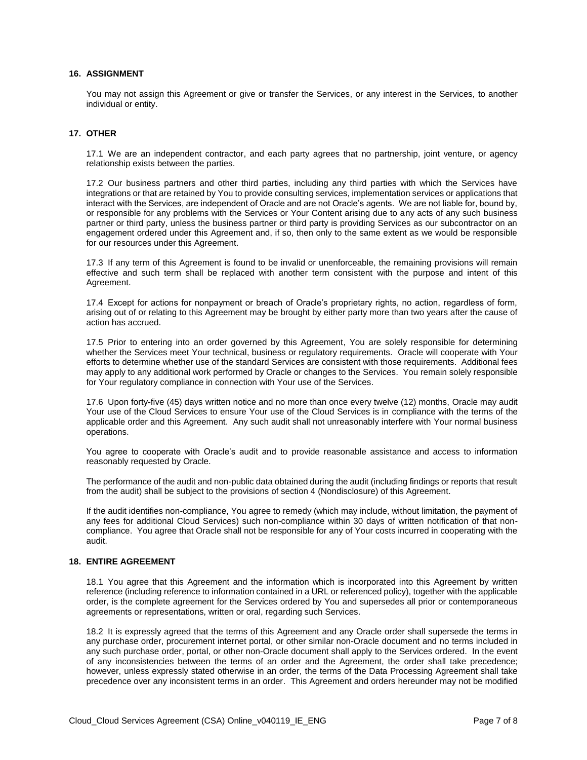#### **16. ASSIGNMENT**

You may not assign this Agreement or give or transfer the Services, or any interest in the Services, to another individual or entity.

#### **17. OTHER**

17.1 We are an independent contractor, and each party agrees that no partnership, joint venture, or agency relationship exists between the parties.

17.2 Our business partners and other third parties, including any third parties with which the Services have integrations or that are retained by You to provide consulting services, implementation services or applications that interact with the Services, are independent of Oracle and are not Oracle's agents. We are not liable for, bound by, or responsible for any problems with the Services or Your Content arising due to any acts of any such business partner or third party, unless the business partner or third party is providing Services as our subcontractor on an engagement ordered under this Agreement and, if so, then only to the same extent as we would be responsible for our resources under this Agreement.

17.3 If any term of this Agreement is found to be invalid or unenforceable, the remaining provisions will remain effective and such term shall be replaced with another term consistent with the purpose and intent of this Agreement.

17.4 Except for actions for nonpayment or breach of Oracle's proprietary rights, no action, regardless of form, arising out of or relating to this Agreement may be brought by either party more than two years after the cause of action has accrued.

17.5 Prior to entering into an order governed by this Agreement, You are solely responsible for determining whether the Services meet Your technical, business or regulatory requirements. Oracle will cooperate with Your efforts to determine whether use of the standard Services are consistent with those requirements. Additional fees may apply to any additional work performed by Oracle or changes to the Services. You remain solely responsible for Your regulatory compliance in connection with Your use of the Services.

17.6 Upon forty-five (45) days written notice and no more than once every twelve (12) months, Oracle may audit Your use of the Cloud Services to ensure Your use of the Cloud Services is in compliance with the terms of the applicable order and this Agreement. Any such audit shall not unreasonably interfere with Your normal business operations.

You agree to cooperate with Oracle's audit and to provide reasonable assistance and access to information reasonably requested by Oracle.

The performance of the audit and non-public data obtained during the audit (including findings or reports that result from the audit) shall be subject to the provisions of section 4 (Nondisclosure) of this Agreement.

If the audit identifies non-compliance, You agree to remedy (which may include, without limitation, the payment of any fees for additional Cloud Services) such non-compliance within 30 days of written notification of that noncompliance. You agree that Oracle shall not be responsible for any of Your costs incurred in cooperating with the audit.

#### **18. ENTIRE AGREEMENT**

18.1 You agree that this Agreement and the information which is incorporated into this Agreement by written reference (including reference to information contained in a URL or referenced policy), together with the applicable order, is the complete agreement for the Services ordered by You and supersedes all prior or contemporaneous agreements or representations, written or oral, regarding such Services.

18.2 It is expressly agreed that the terms of this Agreement and any Oracle order shall supersede the terms in any purchase order, procurement internet portal, or other similar non-Oracle document and no terms included in any such purchase order, portal, or other non-Oracle document shall apply to the Services ordered. In the event of any inconsistencies between the terms of an order and the Agreement, the order shall take precedence; however, unless expressly stated otherwise in an order, the terms of the Data Processing Agreement shall take precedence over any inconsistent terms in an order. This Agreement and orders hereunder may not be modified